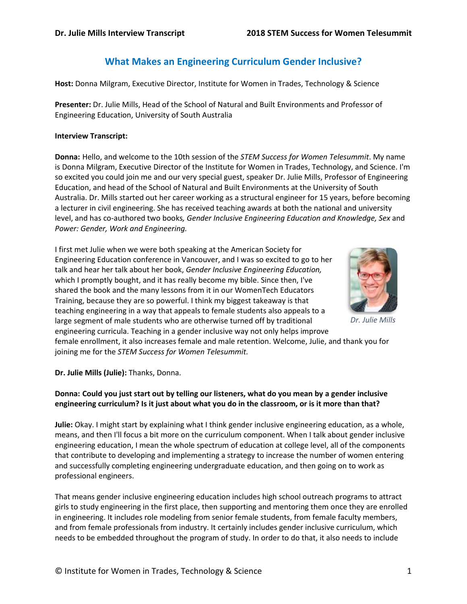# **What Makes an Engineering Curriculum Gender Inclusive?**

**Host:** Donna Milgram, Executive Director, Institute for Women in Trades, Technology & Science

**Presenter:** Dr. Julie Mills, Head of the School of Natural and Built Environments and Professor of Engineering Education, University of South Australia

#### **Interview Transcript:**

**Donna:** Hello, and welcome to the 10th session of the *STEM Success for Women Telesummit*. My name is Donna Milgram, Executive Director of the Institute for Women in Trades, Technology, and Science. I'm so excited you could join me and our very special guest, speaker Dr. Julie Mills, Professor of Engineering Education, and head of the School of Natural and Built Environments at the University of South Australia. Dr. Mills started out her career working as a structural engineer for 15 years, before becoming a lecturer in civil engineering. She has received teaching awards at both the national and university level, and has co-authored two books*, Gender Inclusive Engineering Education and Knowledge, Sex* and *Power: Gender, Work and Engineering.*

I first met Julie when we were both speaking at the American Society for Engineering Education conference in Vancouver, and I was so excited to go to her talk and hear her talk about her book, *Gender Inclusive Engineering Education,* which I promptly bought, and it has really become my bible. Since then, I've shared the book and the many lessons from it in our WomenTech Educators Training, because they are so powerful. I think my biggest takeaway is that teaching engineering in a way that appeals to female students also appeals to a large segment of male students who are otherwise turned off by traditional engineering curricula. Teaching in a gender inclusive way not only helps improve



*Dr. Julie Mills*

female enrollment, it also increases female and male retention. Welcome, Julie, and thank you for joining me for the *STEM Success for Women Telesummit.*

### **Dr. Julie Mills (Julie):** Thanks, Donna.

## **Donna: Could you just start out by telling our listeners, what do you mean by a gender inclusive engineering curriculum? Is it just about what you do in the classroom, or is it more than that?**

**Julie:** Okay. I might start by explaining what I think gender inclusive engineering education, as a whole, means, and then I'll focus a bit more on the curriculum component. When I talk about gender inclusive engineering education, I mean the whole spectrum of education at college level, all of the components that contribute to developing and implementing a strategy to increase the number of women entering and successfully completing engineering undergraduate education, and then going on to work as professional engineers.

That means gender inclusive engineering education includes high school outreach programs to attract girls to study engineering in the first place, then supporting and mentoring them once they are enrolled in engineering. It includes role modeling from senior female students, from female faculty members, and from female professionals from industry. It certainly includes gender inclusive curriculum, which needs to be embedded throughout the program of study. In order to do that, it also needs to include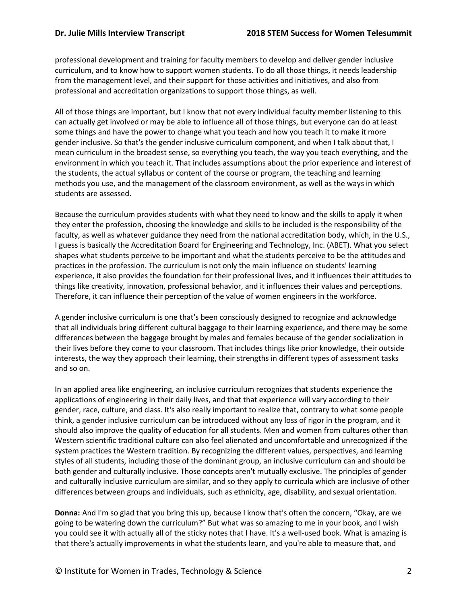professional development and training for faculty members to develop and deliver gender inclusive curriculum, and to know how to support women students. To do all those things, it needs leadership from the management level, and their support for those activities and initiatives, and also from professional and accreditation organizations to support those things, as well.

All of those things are important, but I know that not every individual faculty member listening to this can actually get involved or may be able to influence all of those things, but everyone can do at least some things and have the power to change what you teach and how you teach it to make it more gender inclusive. So that's the gender inclusive curriculum component, and when I talk about that, I mean curriculum in the broadest sense, so everything you teach, the way you teach everything, and the environment in which you teach it. That includes assumptions about the prior experience and interest of the students, the actual syllabus or content of the course or program, the teaching and learning methods you use, and the management of the classroom environment, as well as the ways in which students are assessed.

Because the curriculum provides students with what they need to know and the skills to apply it when they enter the profession, choosing the knowledge and skills to be included is the responsibility of the faculty, as well as whatever guidance they need from the national accreditation body, which, in the U.S., I guess is basically the Accreditation Board for Engineering and Technology, Inc. (ABET). What you select shapes what students perceive to be important and what the students perceive to be the attitudes and practices in the profession. The curriculum is not only the main influence on students' learning experience, it also provides the foundation for their professional lives, and it influences their attitudes to things like creativity, innovation, professional behavior, and it influences their values and perceptions. Therefore, it can influence their perception of the value of women engineers in the workforce.

A gender inclusive curriculum is one that's been consciously designed to recognize and acknowledge that all individuals bring different cultural baggage to their learning experience, and there may be some differences between the baggage brought by males and females because of the gender socialization in their lives before they come to your classroom. That includes things like prior knowledge, their outside interests, the way they approach their learning, their strengths in different types of assessment tasks and so on.

In an applied area like engineering, an inclusive curriculum recognizes that students experience the applications of engineering in their daily lives, and that that experience will vary according to their gender, race, culture, and class. It's also really important to realize that, contrary to what some people think, a gender inclusive curriculum can be introduced without any loss of rigor in the program, and it should also improve the quality of education for all students. Men and women from cultures other than Western scientific traditional culture can also feel alienated and uncomfortable and unrecognized if the system practices the Western tradition. By recognizing the different values, perspectives, and learning styles of all students, including those of the dominant group, an inclusive curriculum can and should be both gender and culturally inclusive. Those concepts aren't mutually exclusive. The principles of gender and culturally inclusive curriculum are similar, and so they apply to curricula which are inclusive of other differences between groups and individuals, such as ethnicity, age, disability, and sexual orientation.

**Donna:** And I'm so glad that you bring this up, because I know that's often the concern, "Okay, are we going to be watering down the curriculum?" But what was so amazing to me in your book, and I wish you could see it with actually all of the sticky notes that I have. It's a well-used book. What is amazing is that there's actually improvements in what the students learn, and you're able to measure that, and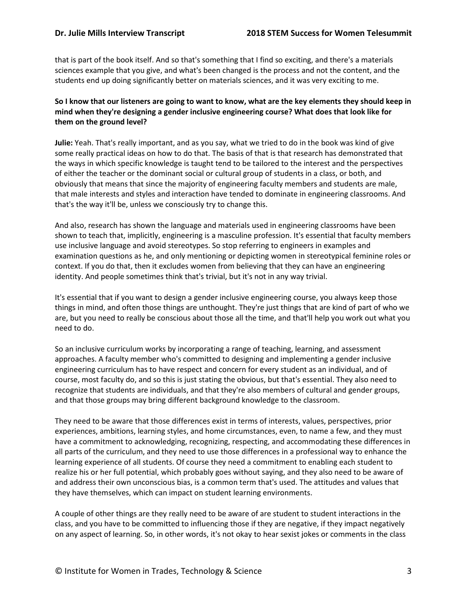that is part of the book itself. And so that's something that I find so exciting, and there's a materials sciences example that you give, and what's been changed is the process and not the content, and the students end up doing significantly better on materials sciences, and it was very exciting to me.

# **So I know that our listeners are going to want to know, what are the key elements they should keep in mind when they're designing a gender inclusive engineering course? What does that look like for them on the ground level?**

**Julie:** Yeah. That's really important, and as you say, what we tried to do in the book was kind of give some really practical ideas on how to do that. The basis of that is that research has demonstrated that the ways in which specific knowledge is taught tend to be tailored to the interest and the perspectives of either the teacher or the dominant social or cultural group of students in a class, or both, and obviously that means that since the majority of engineering faculty members and students are male, that male interests and styles and interaction have tended to dominate in engineering classrooms. And that's the way it'll be, unless we consciously try to change this.

And also, research has shown the language and materials used in engineering classrooms have been shown to teach that, implicitly, engineering is a masculine profession. It's essential that faculty members use inclusive language and avoid stereotypes. So stop referring to engineers in examples and examination questions as he, and only mentioning or depicting women in stereotypical feminine roles or context. If you do that, then it excludes women from believing that they can have an engineering identity. And people sometimes think that's trivial, but it's not in any way trivial.

It's essential that if you want to design a gender inclusive engineering course, you always keep those things in mind, and often those things are unthought. They're just things that are kind of part of who we are, but you need to really be conscious about those all the time, and that'll help you work out what you need to do.

So an inclusive curriculum works by incorporating a range of teaching, learning, and assessment approaches. A faculty member who's committed to designing and implementing a gender inclusive engineering curriculum has to have respect and concern for every student as an individual, and of course, most faculty do, and so this is just stating the obvious, but that's essential. They also need to recognize that students are individuals, and that they're also members of cultural and gender groups, and that those groups may bring different background knowledge to the classroom.

They need to be aware that those differences exist in terms of interests, values, perspectives, prior experiences, ambitions, learning styles, and home circumstances, even, to name a few, and they must have a commitment to acknowledging, recognizing, respecting, and accommodating these differences in all parts of the curriculum, and they need to use those differences in a professional way to enhance the learning experience of all students. Of course they need a commitment to enabling each student to realize his or her full potential, which probably goes without saying, and they also need to be aware of and address their own unconscious bias, is a common term that's used. The attitudes and values that they have themselves, which can impact on student learning environments.

A couple of other things are they really need to be aware of are student to student interactions in the class, and you have to be committed to influencing those if they are negative, if they impact negatively on any aspect of learning. So, in other words, it's not okay to hear sexist jokes or comments in the class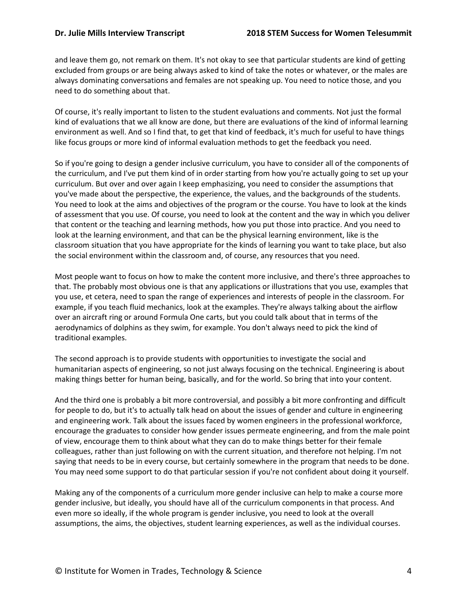and leave them go, not remark on them. It's not okay to see that particular students are kind of getting excluded from groups or are being always asked to kind of take the notes or whatever, or the males are always dominating conversations and females are not speaking up. You need to notice those, and you need to do something about that.

Of course, it's really important to listen to the student evaluations and comments. Not just the formal kind of evaluations that we all know are done, but there are evaluations of the kind of informal learning environment as well. And so I find that, to get that kind of feedback, it's much for useful to have things like focus groups or more kind of informal evaluation methods to get the feedback you need.

So if you're going to design a gender inclusive curriculum, you have to consider all of the components of the curriculum, and I've put them kind of in order starting from how you're actually going to set up your curriculum. But over and over again I keep emphasizing, you need to consider the assumptions that you've made about the perspective, the experience, the values, and the backgrounds of the students. You need to look at the aims and objectives of the program or the course. You have to look at the kinds of assessment that you use. Of course, you need to look at the content and the way in which you deliver that content or the teaching and learning methods, how you put those into practice. And you need to look at the learning environment, and that can be the physical learning environment, like is the classroom situation that you have appropriate for the kinds of learning you want to take place, but also the social environment within the classroom and, of course, any resources that you need.

Most people want to focus on how to make the content more inclusive, and there's three approaches to that. The probably most obvious one is that any applications or illustrations that you use, examples that you use, et cetera, need to span the range of experiences and interests of people in the classroom. For example, if you teach fluid mechanics, look at the examples. They're always talking about the airflow over an aircraft ring or around Formula One carts, but you could talk about that in terms of the aerodynamics of dolphins as they swim, for example. You don't always need to pick the kind of traditional examples.

The second approach is to provide students with opportunities to investigate the social and humanitarian aspects of engineering, so not just always focusing on the technical. Engineering is about making things better for human being, basically, and for the world. So bring that into your content.

And the third one is probably a bit more controversial, and possibly a bit more confronting and difficult for people to do, but it's to actually talk head on about the issues of gender and culture in engineering and engineering work. Talk about the issues faced by women engineers in the professional workforce, encourage the graduates to consider how gender issues permeate engineering, and from the male point of view, encourage them to think about what they can do to make things better for their female colleagues, rather than just following on with the current situation, and therefore not helping. I'm not saying that needs to be in every course, but certainly somewhere in the program that needs to be done. You may need some support to do that particular session if you're not confident about doing it yourself.

Making any of the components of a curriculum more gender inclusive can help to make a course more gender inclusive, but ideally, you should have all of the curriculum components in that process. And even more so ideally, if the whole program is gender inclusive, you need to look at the overall assumptions, the aims, the objectives, student learning experiences, as well as the individual courses.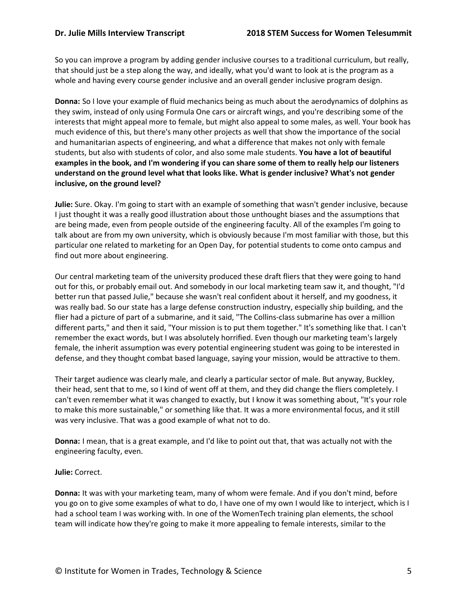So you can improve a program by adding gender inclusive courses to a traditional curriculum, but really, that should just be a step along the way, and ideally, what you'd want to look at is the program as a whole and having every course gender inclusive and an overall gender inclusive program design.

**Donna:** So I love your example of fluid mechanics being as much about the aerodynamics of dolphins as they swim, instead of only using Formula One cars or aircraft wings, and you're describing some of the interests that might appeal more to female, but might also appeal to some males, as well. Your book has much evidence of this, but there's many other projects as well that show the importance of the social and humanitarian aspects of engineering, and what a difference that makes not only with female students, but also with students of color, and also some male students. **You have a lot of beautiful examples in the book, and I'm wondering if you can share some of them to really help our listeners understand on the ground level what that looks like. What is gender inclusive? What's not gender inclusive, on the ground level?**

**Julie:** Sure. Okay. I'm going to start with an example of something that wasn't gender inclusive, because I just thought it was a really good illustration about those unthought biases and the assumptions that are being made, even from people outside of the engineering faculty. All of the examples I'm going to talk about are from my own university, which is obviously because I'm most familiar with those, but this particular one related to marketing for an Open Day, for potential students to come onto campus and find out more about engineering.

Our central marketing team of the university produced these draft fliers that they were going to hand out for this, or probably email out. And somebody in our local marketing team saw it, and thought, "I'd better run that passed Julie," because she wasn't real confident about it herself, and my goodness, it was really bad. So our state has a large defense construction industry, especially ship building, and the flier had a picture of part of a submarine, and it said, "The Collins-class submarine has over a million different parts," and then it said, "Your mission is to put them together." It's something like that. I can't remember the exact words, but I was absolutely horrified. Even though our marketing team's largely female, the inherit assumption was every potential engineering student was going to be interested in defense, and they thought combat based language, saying your mission, would be attractive to them.

Their target audience was clearly male, and clearly a particular sector of male. But anyway, Buckley, their head, sent that to me, so I kind of went off at them, and they did change the fliers completely. I can't even remember what it was changed to exactly, but I know it was something about, "It's your role to make this more sustainable," or something like that. It was a more environmental focus, and it still was very inclusive. That was a good example of what not to do.

**Donna:** I mean, that is a great example, and I'd like to point out that, that was actually not with the engineering faculty, even.

# **Julie:** Correct.

**Donna:** It was with your marketing team, many of whom were female. And if you don't mind, before you go on to give some examples of what to do, I have one of my own I would like to interject, which is I had a school team I was working with. In one of the WomenTech training plan elements, the school team will indicate how they're going to make it more appealing to female interests, similar to the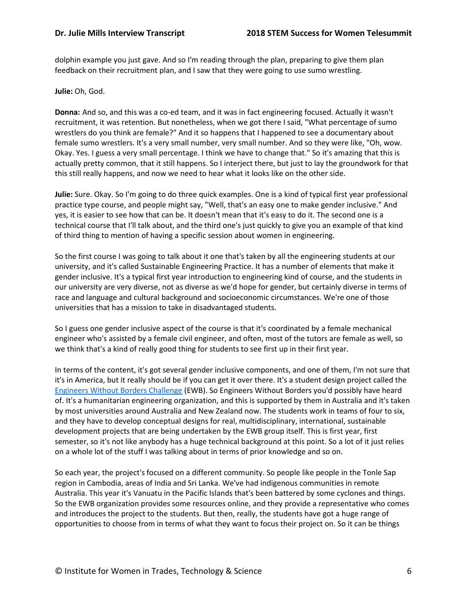dolphin example you just gave. And so I'm reading through the plan, preparing to give them plan feedback on their recruitment plan, and I saw that they were going to use sumo wrestling.

**Julie:** Oh, God.

**Donna:** And so, and this was a co-ed team, and it was in fact engineering focused. Actually it wasn't recruitment, it was retention. But nonetheless, when we got there I said, "What percentage of sumo wrestlers do you think are female?" And it so happens that I happened to see a documentary about female sumo wrestlers. It's a very small number, very small number. And so they were like, "Oh, wow. Okay. Yes. I guess a very small percentage. I think we have to change that." So it's amazing that this is actually pretty common, that it still happens. So I interject there, but just to lay the groundwork for that this still really happens, and now we need to hear what it looks like on the other side.

**Julie:** Sure. Okay. So I'm going to do three quick examples. One is a kind of typical first year professional practice type course, and people might say, "Well, that's an easy one to make gender inclusive." And yes, it is easier to see how that can be. It doesn't mean that it's easy to do it. The second one is a technical course that I'll talk about, and the third one's just quickly to give you an example of that kind of third thing to mention of having a specific session about women in engineering.

So the first course I was going to talk about it one that's taken by all the engineering students at our university, and it's called Sustainable Engineering Practice. It has a number of elements that make it gender inclusive. It's a typical first year introduction to engineering kind of course, and the students in our university are very diverse, not as diverse as we'd hope for gender, but certainly diverse in terms of race and language and cultural background and socioeconomic circumstances. We're one of those universities that has a mission to take in disadvantaged students.

So I guess one gender inclusive aspect of the course is that it's coordinated by a female mechanical engineer who's assisted by a female civil engineer, and often, most of the tutors are female as well, so we think that's a kind of really good thing for students to see first up in their first year.

In terms of the content, it's got several gender inclusive components, and one of them, I'm not sure that it's in America, but it really should be if you can get it over there. It's a student design project called the [Engineers Without Borders Challenge](https://ewbchallenge.org/) (EWB). So Engineers Without Borders you'd possibly have heard of. It's a humanitarian engineering organization, and this is supported by them in Australia and it's taken by most universities around Australia and New Zealand now. The students work in teams of four to six, and they have to develop conceptual designs for real, multidisciplinary, international, sustainable development projects that are being undertaken by the EWB group itself. This is first year, first semester, so it's not like anybody has a huge technical background at this point. So a lot of it just relies on a whole lot of the stuff I was talking about in terms of prior knowledge and so on.

So each year, the project's focused on a different community. So people like people in the Tonle Sap region in Cambodia, areas of India and Sri Lanka. We've had indigenous communities in remote Australia. This year it's Vanuatu in the Pacific Islands that's been battered by some cyclones and things. So the EWB organization provides some resources online, and they provide a representative who comes and introduces the project to the students. But then, really, the students have got a huge range of opportunities to choose from in terms of what they want to focus their project on. So it can be things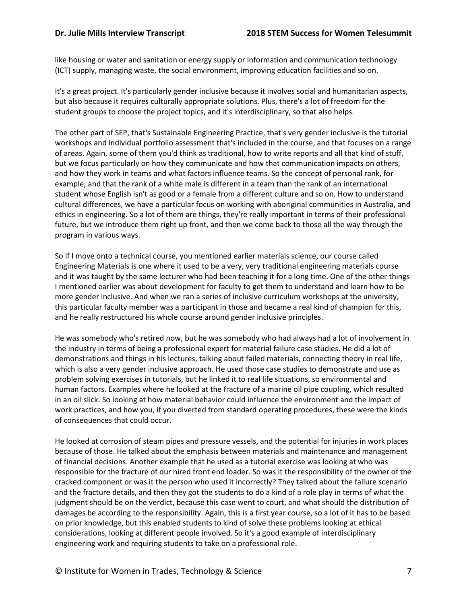like housing or water and sanitation or energy supply or information and communication technology (ICT) supply, managing waste, the social environment, improving education facilities and so on.

It's a great project. It's particularly gender inclusive because it involves social and humanitarian aspects, but also because it requires culturally appropriate solutions. Plus, there's a lot of freedom for the student groups to choose the project topics, and it's interdisciplinary, so that also helps.

The other part of SEP, that's Sustainable Engineering Practice, that's very gender inclusive is the tutorial workshops and individual portfolio assessment that's included in the course, and that focuses on a range of areas. Again, some of them you'd think as traditional, how to write reports and all that kind of stuff, but we focus particularly on how they communicate and how that communication impacts on others, and how they work in teams and what factors influence teams. So the concept of personal rank, for example, and that the rank of a white male is different in a team than the rank of an international student whose English isn't as good or a female from a different culture and so on. How to understand cultural differences, we have a particular focus on working with aboriginal communities in Australia, and ethics in engineering. So a lot of them are things, they're really important in terms of their professional future, but we introduce them right up front, and then we come back to those all the way through the program in various ways.

So if I move onto a technical course, you mentioned earlier materials science, our course called Engineering Materials is one where it used to be a very, very traditional engineering materials course and it was taught by the same lecturer who had been teaching it for a long time. One of the other things I mentioned earlier was about development for faculty to get them to understand and learn how to be more gender inclusive. And when we ran a series of inclusive curriculum workshops at the university, this particular faculty member was a participant in those and became a real kind of champion for this, and he really restructured his whole course around gender inclusive principles.

He was somebody who's retired now, but he was somebody who had always had a lot of involvement in the industry in terms of being a professional expert for material failure case studies. He did a lot of demonstrations and things in his lectures, talking about failed materials, connecting theory in real life, which is also a very gender inclusive approach. He used those case studies to demonstrate and use as problem solving exercises in tutorials, but he linked it to real life situations, so environmental and human factors. Examples where he looked at the fracture of a marine oil pipe coupling, which resulted in an oil slick. So looking at how material behavior could influence the environment and the impact of work practices, and how you, if you diverted from standard operating procedures, these were the kinds of consequences that could occur.

He looked at corrosion of steam pipes and pressure vessels, and the potential for injuries in work places because of those. He talked about the emphasis between materials and maintenance and management of financial decisions. Another example that he used as a tutorial exercise was looking at who was responsible for the fracture of our hired front end loader. So was it the responsibility of the owner of the cracked component or was it the person who used it incorrectly? They talked about the failure scenario and the fracture details, and then they got the students to do a kind of a role play in terms of what the judgment should be on the verdict, because this case went to court, and what should the distribution of damages be according to the responsibility. Again, this is a first year course, so a lot of it has to be based on prior knowledge, but this enabled students to kind of solve these problems looking at ethical considerations, looking at different people involved. So it's a good example of interdisciplinary engineering work and requiring students to take on a professional role.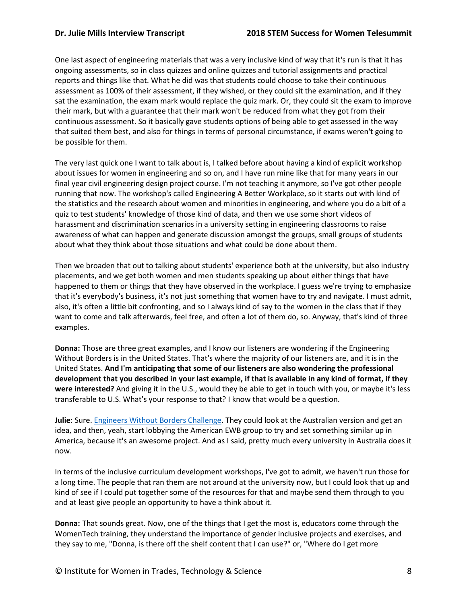One last aspect of engineering materials that was a very inclusive kind of way that it's run is that it has ongoing assessments, so in class quizzes and online quizzes and tutorial assignments and practical reports and things like that. What he did was that students could choose to take their continuous assessment as 100% of their assessment, if they wished, or they could sit the examination, and if they sat the examination, the exam mark would replace the quiz mark. Or, they could sit the exam to improve their mark, but with a guarantee that their mark won't be reduced from what they got from their continuous assessment. So it basically gave students options of being able to get assessed in the way that suited them best, and also for things in terms of personal circumstance, if exams weren't going to be possible for them.

The very last quick one I want to talk about is, I talked before about having a kind of explicit workshop about issues for women in engineering and so on, and I have run mine like that for many years in our final year civil engineering design project course. I'm not teaching it anymore, so I've got other people running that now. The workshop's called Engineering A Better Workplace, so it starts out with kind of the statistics and the research about women and minorities in engineering, and where you do a bit of a quiz to test students' knowledge of those kind of data, and then we use some short videos of harassment and discrimination scenarios in a university setting in engineering classrooms to raise awareness of what can happen and generate discussion amongst the groups, small groups of students about what they think about those situations and what could be done about them.

Then we broaden that out to talking about students' experience both at the university, but also industry placements, and we get both women and men students speaking up about either things that have happened to them or things that they have observed in the workplace. I guess we're trying to emphasize that it's everybody's business, it's not just something that women have to try and navigate. I must admit, also, it's often a little bit confronting, and so I always kind of say to the women in the class that if they want to come and talk afterwards, feel free, and often a lot of them do, so. Anyway, that's kind of three examples.

**Donna:** Those are three great examples, and I know our listeners are wondering if the Engineering Without Borders is in the United States. That's where the majority of our listeners are, and it is in the United States. **And I'm anticipating that some of our listeners are also wondering the professional development that you described in your last example, if that is available in any kind of format, if they were interested?** And giving it in the U.S., would they be able to get in touch with you, or maybe it's less transferable to U.S. What's your response to that? I know that would be a question.

**Julie**: Sure. [Engineers Without Borders Challenge.](https://ewbchallenge.org/) They could look at the Australian version and get an idea, and then, yeah, start lobbying the American EWB group to try and set something similar up in America, because it's an awesome project. And as I said, pretty much every university in Australia does it now.

In terms of the inclusive curriculum development workshops, I've got to admit, we haven't run those for a long time. The people that ran them are not around at the university now, but I could look that up and kind of see if I could put together some of the resources for that and maybe send them through to you and at least give people an opportunity to have a think about it.

**Donna:** That sounds great. Now, one of the things that I get the most is, educators come through the WomenTech training, they understand the importance of gender inclusive projects and exercises, and they say to me, "Donna, is there off the shelf content that I can use?" or, "Where do I get more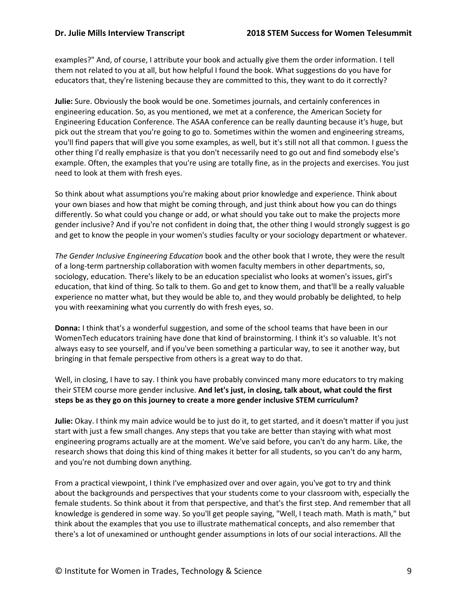examples?" And, of course, I attribute your book and actually give them the order information. I tell them not related to you at all, but how helpful I found the book. What suggestions do you have for educators that, they're listening because they are committed to this, they want to do it correctly?

**Julie:** Sure. Obviously the book would be one. Sometimes journals, and certainly conferences in engineering education. So, as you mentioned, we met at a conference, the American Society for Engineering Education Conference. The ASAA conference can be really daunting because it's huge, but pick out the stream that you're going to go to. Sometimes within the women and engineering streams, you'll find papers that will give you some examples, as well, but it's still not all that common. I guess the other thing I'd really emphasize is that you don't necessarily need to go out and find somebody else's example. Often, the examples that you're using are totally fine, as in the projects and exercises. You just need to look at them with fresh eyes.

So think about what assumptions you're making about prior knowledge and experience. Think about your own biases and how that might be coming through, and just think about how you can do things differently. So what could you change or add, or what should you take out to make the projects more gender inclusive? And if you're not confident in doing that, the other thing I would strongly suggest is go and get to know the people in your women's studies faculty or your sociology department or whatever.

*The Gender Inclusive Engineering Education* book and the other book that I wrote, they were the result of a long-term partnership collaboration with women faculty members in other departments, so, sociology, education. There's likely to be an education specialist who looks at women's issues, girl's education, that kind of thing. So talk to them. Go and get to know them, and that'll be a really valuable experience no matter what, but they would be able to, and they would probably be delighted, to help you with reexamining what you currently do with fresh eyes, so.

**Donna:** I think that's a wonderful suggestion, and some of the school teams that have been in our WomenTech educators training have done that kind of brainstorming. I think it's so valuable. It's not always easy to see yourself, and if you've been something a particular way, to see it another way, but bringing in that female perspective from others is a great way to do that.

Well, in closing, I have to say. I think you have probably convinced many more educators to try making their STEM course more gender inclusive. **And let's just, in closing, talk about, what could the first steps be as they go on this journey to create a more gender inclusive STEM curriculum?**

**Julie:** Okay. I think my main advice would be to just do it, to get started, and it doesn't matter if you just start with just a few small changes. Any steps that you take are better than staying with what most engineering programs actually are at the moment. We've said before, you can't do any harm. Like, the research shows that doing this kind of thing makes it better for all students, so you can't do any harm, and you're not dumbing down anything.

From a practical viewpoint, I think I've emphasized over and over again, you've got to try and think about the backgrounds and perspectives that your students come to your classroom with, especially the female students. So think about it from that perspective, and that's the first step. And remember that all knowledge is gendered in some way. So you'll get people saying, "Well, I teach math. Math is math," but think about the examples that you use to illustrate mathematical concepts, and also remember that there's a lot of unexamined or unthought gender assumptions in lots of our social interactions. All the